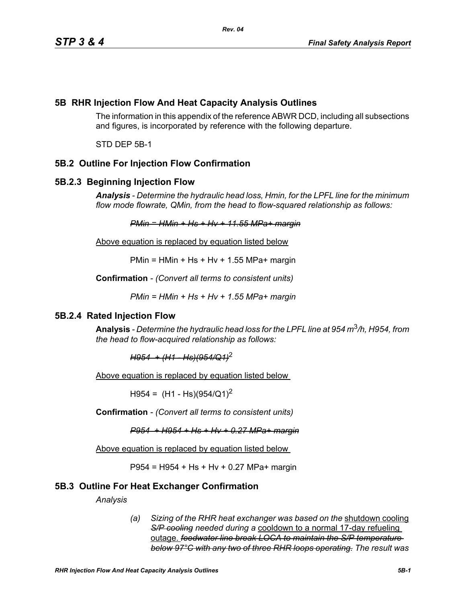## **5B RHR Injection Flow And Heat Capacity Analysis Outlines**

The information in this appendix of the reference ABWR DCD, including all subsections and figures, is incorporated by reference with the following departure.

STD DEP 5B-1

# **5B.2 Outline For Injection Flow Confirmation**

## **5B.2.3 Beginning Injection Flow**

*Analysis - Determine the hydraulic head loss, Hmin, for the LPFL line for the minimum flow mode flowrate, QMin, from the head to flow-squared relationship as follows:*

*PMin = HMin + Hs + Hv + 11.55 MPa+ margin*

Above equation is replaced by equation listed below

 $PMin = HMin + Hs + Hv + 1.55 MPa + margin$ 

**Confirmation** *- (Convert all terms to consistent units)*

*PMin = HMin + Hs + Hv + 1.55 MPa+ margin*

## **5B.2.4 Rated Injection Flow**

**Analysis** *- Determine the hydraulic head loss for the LPFL line at 954 m*3*/h, H954, from the head to flow-acquired relationship as follows:*

*H954 + (H1 - Hs)(954/Q1)*<sup>2</sup>

Above equation is replaced by equation listed below

 $H954 = (H1 - Hs)(954/Q1)^2$ 

**Confirmation** *- (Convert all terms to consistent units)*

*P954 + H954 + Hs + Hv + 0.27 MPa+ margin*

Above equation is replaced by equation listed below

P954 = H954 + Hs + Hv + 0.27 MPa+ margin

## **5B.3 Outline For Heat Exchanger Confirmation**

*Analysis*

*(a) Sizing of the RHR heat exchanger was based on the* shutdown cooling *S/P cooling needed during a* cooldown to a normal 17-day refueling outage. *feedwater line break LOCA to maintain the S/P temperature below 97°C with any two of three RHR loops operating. The result was*